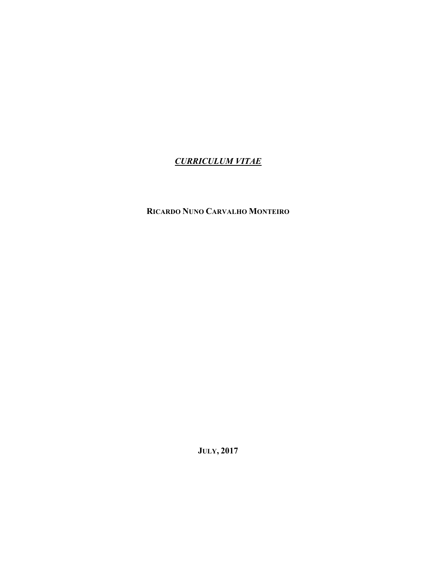## *CURRICULUM VITAE*

## **RICARDO NUNO CARVALHO MONTEIRO**

**JULY, 2017**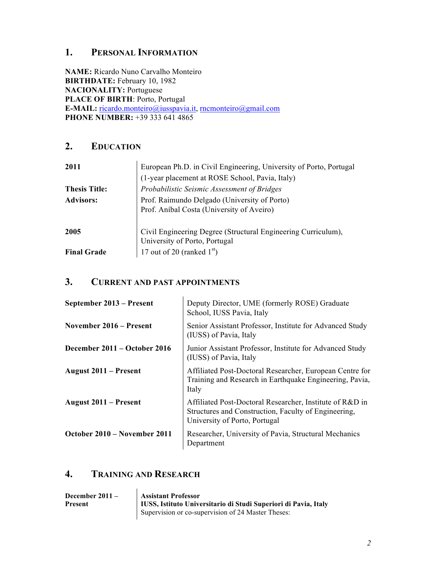## **1. PERSONAL INFORMATION**

**NAME:** Ricardo Nuno Carvalho Monteiro **BIRTHDATE:** February 10, 1982 **NACIONALITY:** Portuguese **PLACE OF BIRTH**: Porto, Portugal **E-MAIL:** ricardo.monteiro@iusspavia.it, rncmonteiro@gmail.com **PHONE NUMBER:** +39 333 641 4865

## **2. EDUCATION**

| 2011                 | European Ph.D. in Civil Engineering, University of Porto, Portugal                             |
|----------------------|------------------------------------------------------------------------------------------------|
|                      | (1-year placement at ROSE School, Pavia, Italy)                                                |
| <b>Thesis Title:</b> | Probabilistic Seismic Assessment of Bridges                                                    |
| <b>Advisors:</b>     | Prof. Raimundo Delgado (University of Porto)<br>Prof. Aníbal Costa (University of Aveiro)      |
| 2005                 | Civil Engineering Degree (Structural Engineering Curriculum),<br>University of Porto, Portugal |
| <b>Final Grade</b>   | 17 out of 20 (ranked $1st$ )                                                                   |

## **3. CURRENT AND PAST APPOINTMENTS**

| September 2013 – Present     | Deputy Director, UME (formerly ROSE) Graduate<br>School, IUSS Pavia, Italy                                                                        |
|------------------------------|---------------------------------------------------------------------------------------------------------------------------------------------------|
| November 2016 – Present      | Senior Assistant Professor, Institute for Advanced Study<br>(IUSS) of Pavia, Italy                                                                |
| December 2011 – October 2016 | Junior Assistant Professor, Institute for Advanced Study<br>(IUSS) of Pavia, Italy                                                                |
| <b>August 2011 – Present</b> | Affiliated Post-Doctoral Researcher, European Centre for<br>Training and Research in Earthquake Engineering, Pavia,<br>Italy                      |
| August 2011 – Present        | Affiliated Post-Doctoral Researcher, Institute of R&D in<br>Structures and Construction, Faculty of Engineering,<br>University of Porto, Portugal |
| October 2010 – November 2011 | Researcher, University of Pavia, Structural Mechanics<br>Department                                                                               |

## **4. TRAINING AND RESEARCH**

| December $2011 -$<br><b>Present</b> | <b>Assistant Professor</b><br>IUSS, Istituto Universitario di Studi Superiori di Pavia, Italy<br>Supervision or co-supervision of 24 Master Theses: |
|-------------------------------------|-----------------------------------------------------------------------------------------------------------------------------------------------------|
|                                     |                                                                                                                                                     |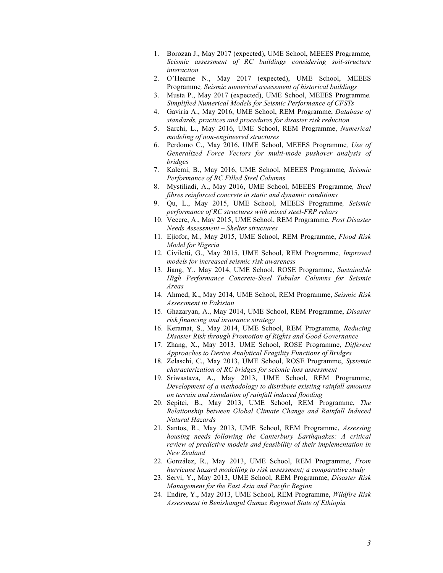- 1. Borozan J., May 2017 (expected), UME School, MEEES Programme*, Seismic assessment of RC buildings considering soil-structure interaction*
- 2. O'Hearne N., May 2017 (expected), UME School, MEEES Programme*, Seismic numerical assessment of historical buildings*
- 3. Musta P., May 2017 (expected), UME School, MEEES Programme*, Simplified Numerical Models for Seismic Performance of CFSTs*
- 4. Gaviria A., May 2016, UME School, REM Programme, *Database of standards, practices and procedures for disaster risk reduction*
- 5. Sarchi, L., May 2016, UME School, REM Programme, *Numerical modeling of non-engineered structures*
- 6. Perdomo C., May 2016, UME School, MEEES Programme*, Use of Generalized Force Vectors for multi-mode pushover analysis of bridges*
- 7. Kalemi, B., May 2016, UME School, MEEES Programme*, Seismic Performance of RC Filled Steel Columns*
- 8. Mystiliadi, A., May 2016, UME School, MEEES Programme*, Steel fibres reinforced concrete in static and dynamic conditions*
- 9. Qu, L., May 2015, UME School, MEEES Programme*, Seismic performance of RC structures with mixed steel-FRP rebars*
- 10. Vecere, A., May 2015, UME School, REM Programme, *Post Disaster Needs Assessment – Shelter structures*
- 11. Ejiofor, M., May 2015, UME School, REM Programme, *Flood Risk Model for Nigeria*
- 12. Civiletti, G., May 2015, UME School, REM Programme*, Improved models for increased seismic risk awareness*
- 13. Jiang, Y., May 2014, UME School, ROSE Programme, *Sustainable High Performance Concrete-Steel Tubular Columns for Seismic Areas*
- 14. Ahmed, K., May 2014, UME School, REM Programme, *Seismic Risk Assessment in Pakistan*
- 15. Ghazaryan, A., May 2014, UME School, REM Programme, *Disaster risk financing and insurance strategy*
- 16. Keramat, S., May 2014, UME School, REM Programme, *Reducing Disaster Risk through Promotion of Rights and Good Governance*
- 17. Zhang, X., May 2013, UME School, ROSE Programme, *Different Approaches to Derive Analytical Fragility Functions of Bridges*
- 18. Zelaschi, C., May 2013, UME School, ROSE Programme, *Systemic characterization of RC bridges for seismic loss assessment*
- 19. Sriwastava, A., May 2013, UME School, REM Programme, *Development of a methodology to distribute existing rainfall amounts on terrain and simulation of rainfall induced flooding*
- 20. Sepitci, B., May 2013, UME School, REM Programme, *The Relationship between Global Climate Change and Rainfall Induced Natural Hazards*
- 21. Santos, R., May 2013, UME School, REM Programme, *Assessing housing needs following the Canterbury Earthquakes: A critical review of predictive models and feasibility of their implementation in New Zealand*
- 22. González, R., May 2013, UME School, REM Programme, *From hurricane hazard modelling to risk assessment; a comparative study*
- 23. Servi, Y., May 2013, UME School, REM Programme, *Disaster Risk Management for the East Asia and Pacific Region*
- 24. Endire, Y., May 2013, UME School, REM Programme, *Wildfire Risk Assessment in Benishangul Gumuz Regional State of Ethiopia*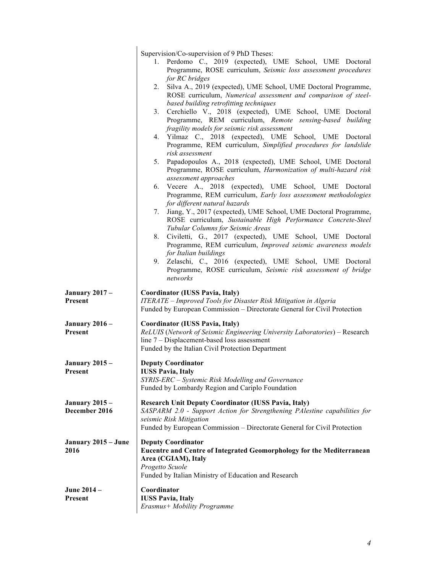|                                        | Supervision/Co-supervision of 9 PhD Theses:<br>1. Perdomo C., 2019 (expected), UME School, UME Doctoral<br>Programme, ROSE curriculum, Seismic loss assessment procedures<br>for RC bridges<br>2. Silva A., 2019 (expected), UME School, UME Doctoral Programme,<br>ROSE curriculum, Numerical assessment and comparison of steel-<br>based building retrofitting techniques<br>Cerchiello V., 2018 (expected), UME School, UME Doctoral<br>3.<br>Programme, REM curriculum, Remote sensing-based building<br>fragility models for seismic risk assessment<br>4. Yilmaz C., 2018 (expected), UME School, UME Doctoral<br>Programme, REM curriculum, Simplified procedures for landslide<br>risk assessment<br>5. Papadopoulos A., 2018 (expected), UME School, UME Doctoral<br>Programme, ROSE curriculum, Harmonization of multi-hazard risk<br>assessment approaches<br>6. Vecere A., 2018 (expected), UME School, UME Doctoral<br>Programme, REM curriculum, Early loss assessment methodologies<br>for different natural hazards<br>Jiang, Y., 2017 (expected), UME School, UME Doctoral Programme,<br>7.<br>ROSE curriculum, Sustainable High Performance Concrete-Steel<br>Tubular Columns for Seismic Areas<br>8. Civiletti, G., 2017 (expected), UME School, UME Doctoral<br>Programme, REM curriculum, Improved seismic awareness models<br>for Italian buildings<br>9. Zelaschi, C., 2016 (expected), UME School, UME Doctoral<br>Programme, ROSE curriculum, Seismic risk assessment of bridge<br>networks |
|----------------------------------------|-----------------------------------------------------------------------------------------------------------------------------------------------------------------------------------------------------------------------------------------------------------------------------------------------------------------------------------------------------------------------------------------------------------------------------------------------------------------------------------------------------------------------------------------------------------------------------------------------------------------------------------------------------------------------------------------------------------------------------------------------------------------------------------------------------------------------------------------------------------------------------------------------------------------------------------------------------------------------------------------------------------------------------------------------------------------------------------------------------------------------------------------------------------------------------------------------------------------------------------------------------------------------------------------------------------------------------------------------------------------------------------------------------------------------------------------------------------------------------------------------------------------------|
| <b>January 2017 –</b><br>Present       | <b>Coordinator (IUSS Pavia, Italy)</b><br>ITERATE - Improved Tools for Disaster Risk Mitigation in Algeria<br>Funded by European Commission – Directorate General for Civil Protection                                                                                                                                                                                                                                                                                                                                                                                                                                                                                                                                                                                                                                                                                                                                                                                                                                                                                                                                                                                                                                                                                                                                                                                                                                                                                                                                |
| <b>January 2016 -</b><br>Present       | <b>Coordinator (IUSS Pavia, Italy)</b><br>ReLUIS (Network of Seismic Engineering University Laboratories) - Research<br>line 7 – Displacement-based loss assessment<br>Funded by the Italian Civil Protection Department                                                                                                                                                                                                                                                                                                                                                                                                                                                                                                                                                                                                                                                                                                                                                                                                                                                                                                                                                                                                                                                                                                                                                                                                                                                                                              |
| <b>January 2015 –</b><br>Present       | <b>Deputy Coordinator</b><br><b>IUSS Pavia, Italy</b><br>SYRIS-ERC - Systemic Risk Modelling and Governance<br>Funded by Lombardy Region and Cariplo Foundation                                                                                                                                                                                                                                                                                                                                                                                                                                                                                                                                                                                                                                                                                                                                                                                                                                                                                                                                                                                                                                                                                                                                                                                                                                                                                                                                                       |
| <b>January 2015 –</b><br>December 2016 | <b>Research Unit Deputy Coordinator (IUSS Pavia, Italy)</b><br>SASPARM 2.0 - Support Action for Strengthening PAlestine capabilities for<br>seismic Risk Mitigation<br>Funded by European Commission – Directorate General for Civil Protection                                                                                                                                                                                                                                                                                                                                                                                                                                                                                                                                                                                                                                                                                                                                                                                                                                                                                                                                                                                                                                                                                                                                                                                                                                                                       |
| January 2015 – June<br>2016            | <b>Deputy Coordinator</b><br>Eucentre and Centre of Integrated Geomorphology for the Mediterranean<br>Area (CGIAM), Italy<br>Progetto Scuole<br>Funded by Italian Ministry of Education and Research                                                                                                                                                                                                                                                                                                                                                                                                                                                                                                                                                                                                                                                                                                                                                                                                                                                                                                                                                                                                                                                                                                                                                                                                                                                                                                                  |
| June 2014 –<br>Present                 | Coordinator<br><b>IUSS Pavia, Italy</b><br>Erasmus+ Mobility Programme                                                                                                                                                                                                                                                                                                                                                                                                                                                                                                                                                                                                                                                                                                                                                                                                                                                                                                                                                                                                                                                                                                                                                                                                                                                                                                                                                                                                                                                |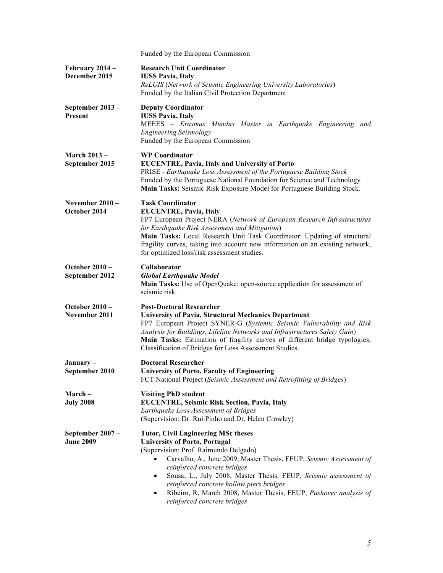|                                       | Funded by the European Commission                                                                                                                                                                                                                                                                                                                                                                                                                                                            |
|---------------------------------------|----------------------------------------------------------------------------------------------------------------------------------------------------------------------------------------------------------------------------------------------------------------------------------------------------------------------------------------------------------------------------------------------------------------------------------------------------------------------------------------------|
| February 2014 -<br>December 2015      | <b>Research Unit Coordinator</b><br><b>IUSS Pavia, Italy</b><br>ReLUIS (Network of Seismic Engineering University Laboratories)<br>Funded by the Italian Civil Protection Department                                                                                                                                                                                                                                                                                                         |
| September 2013 -<br><b>Present</b>    | <b>Deputy Coordinator</b><br><b>IUSS Pavia, Italy</b><br>MEEES - Erasmus Mundus Master in Earthquake Engineering and<br><b>Engineering Seismology</b><br>Funded by the European Commission                                                                                                                                                                                                                                                                                                   |
| <b>March 2013 –</b><br>September 2015 | <b>WP Coordinator</b><br><b>EUCENTRE, Pavia, Italy and University of Porto</b><br>PRISE - Earthquake Loss Assessment of the Portuguese Building Stock<br>Funded by the Portuguese National Foundation for Science and Technology<br>Main Tasks: Seismic Risk Exposure Model for Portuguese Building Stock.                                                                                                                                                                                   |
| November $2010 -$<br>October 2014     | <b>Task Coordinator</b><br><b>EUCENTRE, Pavia, Italy</b><br>FP7 European Project NERA (Network of European Research Infrastructures<br>for Earthquake Risk Assessment and Mitigation)<br>Main Tasks: Local Research Unit Task Coordinator: Updating of structural<br>fragility curves, taking into account new information on an existing network,<br>for optimized loss/risk assessment studies.                                                                                            |
| October $2010 -$<br>September 2012    | Collaborator<br><b>Global Earthquake Model</b><br>Main Tasks: Use of OpenQuake: open-source application for assessment of<br>seismic risk.                                                                                                                                                                                                                                                                                                                                                   |
| October $2010 -$<br>November 2011     | <b>Post-Doctoral Researcher</b><br><b>University of Pavia, Structural Mechanics Department</b><br>FP7 European Project SYNER-G (Systemic Seismic Vulnerability and Risk<br>Analysis for Buildings, Lifeline Networks and Infrastructures Safety Gain)<br>Main Tasks: Estimation of fragility curves of different bridge typologies;<br>Classification of Bridges for Loss Assessment Studies.                                                                                                |
| January-<br>September 2010            | <b>Doctoral Researcher</b><br><b>University of Porto, Faculty of Engineering</b><br>FCT National Project (Seismic Assessment and Retrofitting of Bridges)                                                                                                                                                                                                                                                                                                                                    |
| March –<br><b>July 2008</b>           | <b>Visiting PhD student</b><br>EUCENTRE, Seismic Risk Section, Pavia, Italy<br>Earthquake Loss Assessment of Bridges<br>(Supervision: Dr. Rui Pinho and Dr. Helen Crowley)                                                                                                                                                                                                                                                                                                                   |
| September 2007 -<br><b>June 2009</b>  | <b>Tutor, Civil Engineering MSc theses</b><br><b>University of Porto, Portugal</b><br>(Supervision: Prof. Raimundo Delgado)<br>Carvalho, A., June 2009, Master Thesis, FEUP, Seismic Assessment of<br>$\bullet$<br>reinforced concrete bridges<br>Sousa, L., July 2008, Master Thesis, FEUP, Seismic assessment of<br>$\bullet$<br>reinforced concrete hollow piers bridges<br>Ribeiro, R, March 2008, Master Thesis, FEUP, Pushover analysis of<br>$\bullet$<br>reinforced concrete bridges |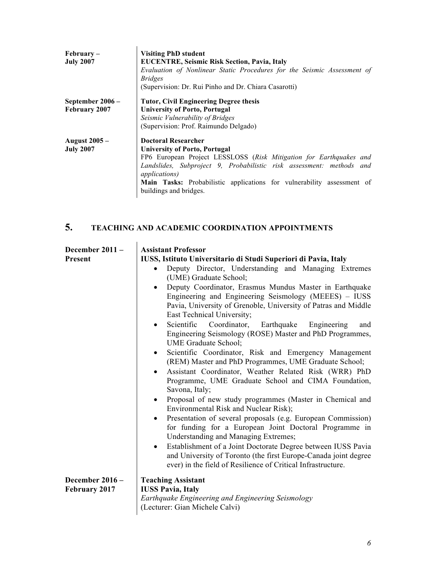| $February-$<br><b>July 2007</b> | <b>Visiting PhD student</b><br><b>EUCENTRE, Seismic Risk Section, Pavia, Italy</b> |
|---------------------------------|------------------------------------------------------------------------------------|
|                                 | Evaluation of Nonlinear Static Procedures for the Seismic Assessment of            |
|                                 | <i>Bridges</i>                                                                     |
|                                 | (Supervision: Dr. Rui Pinho and Dr. Chiara Casarotti)                              |
| September 2006 -                | <b>Tutor, Civil Engineering Degree thesis</b>                                      |
| February 2007                   | <b>University of Porto, Portugal</b>                                               |
|                                 | Seismic Vulnerability of Bridges                                                   |
|                                 | (Supervision: Prof. Raimundo Delgado)                                              |
| <b>August 2005 –</b>            | <b>Doctoral Researcher</b>                                                         |
| <b>July 2007</b>                | <b>University of Porto, Portugal</b>                                               |
|                                 | FP6 European Project LESSLOSS (Risk Mitigation for Earthquakes and                 |
|                                 | Landslides, Subproject 9, Probabilistic risk assessment: methods and               |
|                                 | <i>applications</i> )                                                              |
|                                 | Main Tasks: Probabilistic applications for vulnerability assessment of             |
|                                 | buildings and bridges.                                                             |

## **5. TEACHING AND ACADEMIC COORDINATION APPOINTMENTS**

| December 2011 -                  | <b>Assistant Professor</b>                                                                                                                                                                                                                                                                                                                                                                                                                                                                                                                                                                                                                                                                                                                                                                                                                                                                                                                                                                                                                                                                                                                 |
|----------------------------------|--------------------------------------------------------------------------------------------------------------------------------------------------------------------------------------------------------------------------------------------------------------------------------------------------------------------------------------------------------------------------------------------------------------------------------------------------------------------------------------------------------------------------------------------------------------------------------------------------------------------------------------------------------------------------------------------------------------------------------------------------------------------------------------------------------------------------------------------------------------------------------------------------------------------------------------------------------------------------------------------------------------------------------------------------------------------------------------------------------------------------------------------|
| Present                          | IUSS, Istituto Universitario di Studi Superiori di Pavia, Italy                                                                                                                                                                                                                                                                                                                                                                                                                                                                                                                                                                                                                                                                                                                                                                                                                                                                                                                                                                                                                                                                            |
|                                  | Deputy Director, Understanding and Managing Extremes<br>$\bullet$<br>(UME) Graduate School;<br>Deputy Coordinator, Erasmus Mundus Master in Earthquake<br>$\bullet$<br>Engineering and Engineering Seismology (MEEES) – IUSS<br>Pavia, University of Grenoble, University of Patras and Middle<br>East Technical University;<br>Scientific<br>Coordinator, Earthquake<br>Engineering<br>and<br>$\bullet$<br>Engineering Seismology (ROSE) Master and PhD Programmes,<br>UME Graduate School;<br>Scientific Coordinator, Risk and Emergency Management<br>٠<br>(REM) Master and PhD Programmes, UME Graduate School;<br>Assistant Coordinator, Weather Related Risk (WRR) PhD<br>$\bullet$<br>Programme, UME Graduate School and CIMA Foundation,<br>Savona, Italy;<br>Proposal of new study programmes (Master in Chemical and<br>$\bullet$<br>Environmental Risk and Nuclear Risk);<br>Presentation of several proposals (e.g. European Commission)<br>for funding for a European Joint Doctoral Programme in<br><b>Understanding and Managing Extremes;</b><br>Establishment of a Joint Doctorate Degree between IUSS Pavia<br>$\bullet$ |
|                                  | and University of Toronto (the first Europe-Canada joint degree<br>ever) in the field of Resilience of Critical Infrastructure.                                                                                                                                                                                                                                                                                                                                                                                                                                                                                                                                                                                                                                                                                                                                                                                                                                                                                                                                                                                                            |
| December 2016 -<br>February 2017 | <b>Teaching Assistant</b><br><b>IUSS Pavia, Italy</b>                                                                                                                                                                                                                                                                                                                                                                                                                                                                                                                                                                                                                                                                                                                                                                                                                                                                                                                                                                                                                                                                                      |
|                                  | Earthquake Engineering and Engineering Seismology<br>(Lecturer: Gian Michele Calvi)                                                                                                                                                                                                                                                                                                                                                                                                                                                                                                                                                                                                                                                                                                                                                                                                                                                                                                                                                                                                                                                        |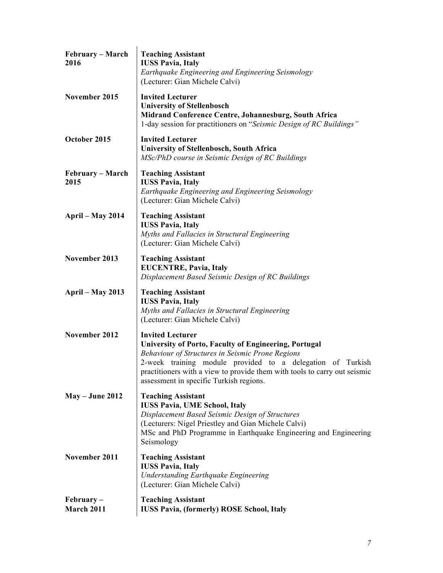| February - March<br>2016   | <b>Teaching Assistant</b><br><b>IUSS Pavia, Italy</b><br>Earthquake Engineering and Engineering Seismology<br>(Lecturer: Gian Michele Calvi)                                                                                                                                                                                             |
|----------------------------|------------------------------------------------------------------------------------------------------------------------------------------------------------------------------------------------------------------------------------------------------------------------------------------------------------------------------------------|
| November 2015              | <b>Invited Lecturer</b><br><b>University of Stellenbosch</b><br>Midrand Conference Centre, Johannesburg, South Africa<br>1-day session for practitioners on "Seismic Design of RC Buildings"                                                                                                                                             |
| October 2015               | <b>Invited Lecturer</b><br><b>University of Stellenbosch, South Africa</b><br>MSc/PhD course in Seismic Design of RC Buildings                                                                                                                                                                                                           |
| February – March<br>2015   | <b>Teaching Assistant</b><br><b>IUSS Pavia, Italy</b><br>Earthquake Engineering and Engineering Seismology<br>(Lecturer: Gian Michele Calvi)                                                                                                                                                                                             |
| <b>April – May 2014</b>    | <b>Teaching Assistant</b><br><b>IUSS Pavia, Italy</b><br>Myths and Fallacies in Structural Engineering<br>(Lecturer: Gian Michele Calvi)                                                                                                                                                                                                 |
| November 2013              | <b>Teaching Assistant</b><br><b>EUCENTRE, Pavia, Italy</b><br>Displacement Based Seismic Design of RC Buildings                                                                                                                                                                                                                          |
| <b>April – May 2013</b>    | <b>Teaching Assistant</b><br><b>IUSS Pavia, Italy</b><br>Myths and Fallacies in Structural Engineering<br>(Lecturer: Gian Michele Calvi)                                                                                                                                                                                                 |
| November 2012              | <b>Invited Lecturer</b><br><b>University of Porto, Faculty of Engineering, Portugal</b><br><b>Behaviour of Structures in Seismic Prone Regions</b><br>2-week training module provided to a delegation of Turkish<br>practitioners with a view to provide them with tools to carry out seismic<br>assessment in specific Turkish regions. |
| $May - June 2012$          | <b>Teaching Assistant</b><br><b>IUSS Pavia, UME School, Italy</b><br>Displacement Based Seismic Design of Structures<br>(Lecturers: Nigel Priestley and Gian Michele Calvi)<br>MSc and PhD Programme in Earthquake Engineering and Engineering<br>Seismology                                                                             |
| November 2011              | <b>Teaching Assistant</b><br><b>IUSS Pavia, Italy</b><br><b>Understanding Earthquake Engineering</b><br>(Lecturer: Gian Michele Calvi)                                                                                                                                                                                                   |
| $February -$<br>March 2011 | <b>Teaching Assistant</b><br><b>IUSS Pavia, (formerly) ROSE School, Italy</b>                                                                                                                                                                                                                                                            |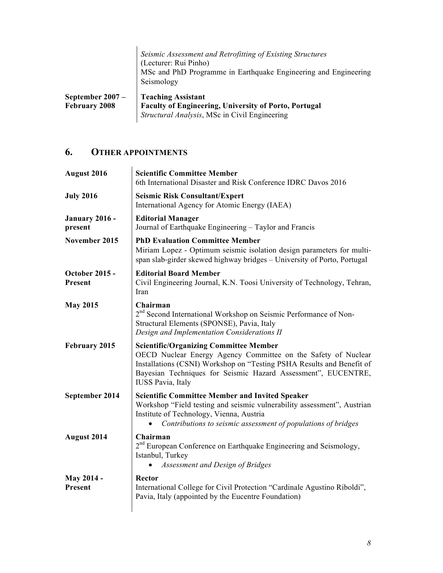|                                            | Seismic Assessment and Retrofitting of Existing Structures<br>(Lecturer: Rui Pinho)<br>MSc and PhD Programme in Earthquake Engineering and Engineering<br>Seismology |
|--------------------------------------------|----------------------------------------------------------------------------------------------------------------------------------------------------------------------|
| September $2007 -$<br><b>February 2008</b> | <b>Teaching Assistant</b><br>Faculty of Engineering, University of Porto, Portugal<br>Structural Analysis, MSc in Civil Engineering                                  |

# **6. OTHER APPOINTMENTS**

| August 2016                      | <b>Scientific Committee Member</b><br>6th International Disaster and Risk Conference IDRC Davos 2016                                                                                                                                                                                  |
|----------------------------------|---------------------------------------------------------------------------------------------------------------------------------------------------------------------------------------------------------------------------------------------------------------------------------------|
| <b>July 2016</b>                 | <b>Seismic Risk Consultant/Expert</b><br>International Agency for Atomic Energy (IAEA)                                                                                                                                                                                                |
| <b>January 2016 -</b><br>present | <b>Editorial Manager</b><br>Journal of Earthquake Engineering - Taylor and Francis                                                                                                                                                                                                    |
| November 2015                    | <b>PhD Evaluation Committee Member</b><br>Miriam Lopez - Optimum seismic isolation design parameters for multi-<br>span slab-girder skewed highway bridges – University of Porto, Portugal                                                                                            |
| <b>October 2015 -</b><br>Present | <b>Editorial Board Member</b><br>Civil Engineering Journal, K.N. Toosi University of Technology, Tehran,<br>Iran                                                                                                                                                                      |
| <b>May 2015</b>                  | Chairman<br>2 <sup>nd</sup> Second International Workshop on Seismic Performance of Non-<br>Structural Elements (SPONSE), Pavia, Italy<br>Design and Implementation Considerations II                                                                                                 |
| February 2015                    | <b>Scientific/Organizing Committee Member</b><br>OECD Nuclear Energy Agency Committee on the Safety of Nuclear<br>Installations (CSNI) Workshop on "Testing PSHA Results and Benefit of<br>Bayesian Techniques for Seismic Hazard Assessment", EUCENTRE,<br><b>IUSS Pavia</b> , Italy |
| September 2014                   | <b>Scientific Committee Member and Invited Speaker</b><br>Workshop "Field testing and seismic vulnerability assessment", Austrian<br>Institute of Technology, Vienna, Austria<br>Contributions to seismic assessment of populations of bridges                                        |
| August 2014                      | Chairman<br>2 <sup>nd</sup> European Conference on Earthquake Engineering and Seismology,<br>Istanbul, Turkey                                                                                                                                                                         |
|                                  | Assessment and Design of Bridges                                                                                                                                                                                                                                                      |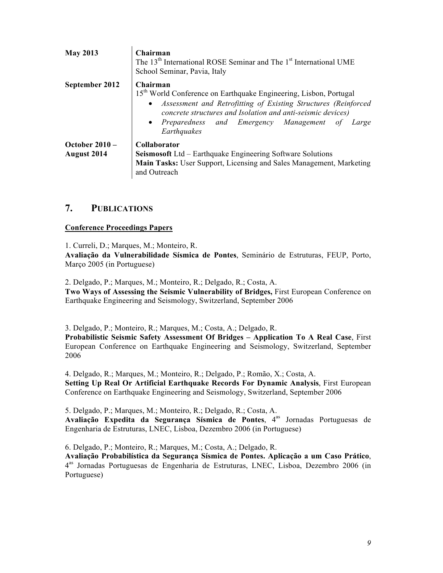| <b>May 2013</b>                        | Chairman<br>The 13 <sup>th</sup> International ROSE Seminar and The 1 <sup>st</sup> International UME<br>School Seminar, Pavia, Italy                                                                                                                                                              |
|----------------------------------------|----------------------------------------------------------------------------------------------------------------------------------------------------------------------------------------------------------------------------------------------------------------------------------------------------|
| September 2012                         | Chairman<br>15 <sup>th</sup> World Conference on Earthquake Engineering, Lisbon, Portugal<br>• Assessment and Retrofitting of Existing Structures (Reinforced<br>concrete structures and Isolation and anti-seismic devices)<br>• Preparedness and Emergency Management of<br>Large<br>Earthquakes |
| October $2010 -$<br><b>August 2014</b> | <b>Collaborator</b><br>Seismosoft Ltd - Earthquake Engineering Software Solutions<br>Main Tasks: User Support, Licensing and Sales Management, Marketing<br>and Outreach                                                                                                                           |

### **7. PUBLICATIONS**

#### **Conference Proceedings Papers**

1. Curreli, D.; Marques, M.; Monteiro, R.

**Avaliação da Vulnerabilidade Sísmica de Pontes**, Seminário de Estruturas, FEUP, Porto, Março 2005 (in Portuguese)

2. Delgado, P.; Marques, M.; Monteiro, R.; Delgado, R.; Costa, A.

**Two Ways of Assessing the Seismic Vulnerability of Bridges,** First European Conference on Earthquake Engineering and Seismology, Switzerland, September 2006

3. Delgado, P.; Monteiro, R.; Marques, M.; Costa, A.; Delgado, R.

**Probabilistic Seismic Safety Assessment Of Bridges – Application To A Real Case**, First European Conference on Earthquake Engineering and Seismology, Switzerland, September 2006

4. Delgado, R.; Marques, M.; Monteiro, R.; Delgado, P.; Romão, X.; Costa, A. **Setting Up Real Or Artificial Earthquake Records For Dynamic Analysis**, First European Conference on Earthquake Engineering and Seismology, Switzerland, September 2006

5. Delgado, P.; Marques, M.; Monteiro, R.; Delgado, R.; Costa, A.

**Avaliação Expedita da Segurança Sísmica de Pontes, 4<sup>as</sup> Jornadas Portuguesas de** Engenharia de Estruturas, LNEC, Lisboa, Dezembro 2006 (in Portuguese)

6. Delgado, P.; Monteiro, R.; Marques, M.; Costa, A.; Delgado, R.

**Avaliação Probabilística da Segurança Sísmica de Pontes. Aplicação a um Caso Prático**, 4as Jornadas Portuguesas de Engenharia de Estruturas, LNEC, Lisboa, Dezembro 2006 (in Portuguese)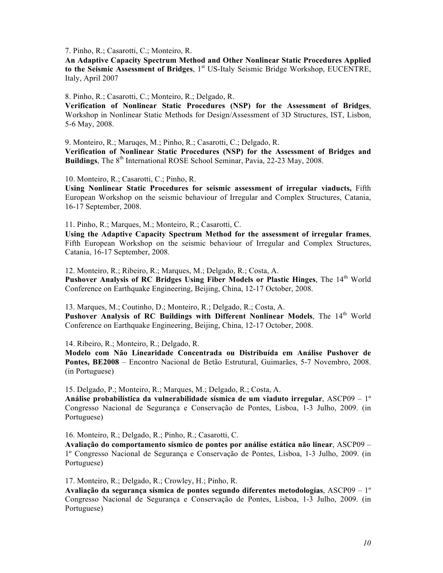7. Pinho, R.; Casarotti, C.; Monteiro, R.

**An Adaptive Capacity Spectrum Method and Other Nonlinear Static Procedures Applied**  to the Seismic Assessment of Bridges, 1<sup>st</sup> US-Italy Seismic Bridge Workshop, EUCENTRE, Italy, April 2007

8. Pinho, R.; Casarotti, C.; Monteiro, R.; Delgado, R.

**Verification of Nonlinear Static Procedures (NSP) for the Assessment of Bridges**, Workshop in Nonlinear Static Methods for Design/Assessment of 3D Structures, IST, Lisbon, 5-6 May, 2008.

9. Monteiro, R.; Maruqes, M.; Pinho, R.; Casarotti, C.; Delgado, R. **Verification of Nonlinear Static Procedures (NSP) for the Assessment of Bridges and Buildings**, The 8<sup>th</sup> International ROSE School Seminar, Pavia, 22-23 May, 2008.

10. Monteiro, R.; Casarotti, C.; Pinho, R.

**Using Nonlinear Static Procedures for seismic assessment of irregular viaducts,** Fifth European Workshop on the seismic behaviour of Irregular and Complex Structures, Catania, 16-17 September, 2008.

11. Pinho, R.; Marques, M.; Monteiro, R.; Casarotti, C.

**Using the Adaptive Capacity Spectrum Method for the assessment of irregular frames**, Fifth European Workshop on the seismic behaviour of Irregular and Complex Structures, Catania, 16-17 September, 2008.

12. Monteiro, R.; Ribeiro, R.; Marques, M.; Delgado, R.; Costa, A. Pushover Analysis of RC Bridges Using Fiber Models or Plastic Hinges, The 14<sup>th</sup> World Conference on Earthquake Engineering, Beijing, China, 12-17 October, 2008.

13. Marques, M.; Coutinho, D.; Monteiro, R.; Delgado, R.; Costa, A. Pushover Analysis of RC Buildings with Different Nonlinear Models, The 14<sup>th</sup> World Conference on Earthquake Engineering, Beijing, China, 12-17 October, 2008.

14. Ribeiro, R.; Monteiro, R.; Delgado, R.

**Modelo com Não Linearidade Concentrada ou Distribuída em Análise Pushover de Pontes, BE2008** – Encontro Nacional de Betão Estrutural, Guimarães, 5-7 Novembro, 2008. (in Portuguese)

15. Delgado, P.; Monteiro, R.; Marques, M.; Delgado, R.; Costa, A.

**Análise probabilística da vulnerabilidade sísmica de um viaduto irregular**, ASCP09 – 1º Congresso Nacional de Segurança e Conservação de Pontes, Lisboa, 1-3 Julho, 2009. (in Portuguese)

16. Monteiro, R.; Delgado, R.; Pinho, R.; Casarotti, C.

**Avaliação do comportamento sísmico de pontes por análise estática não linear**, ASCP09 – 1º Congresso Nacional de Segurança e Conservação de Pontes, Lisboa, 1-3 Julho, 2009. (in Portuguese)

17. Monteiro, R.; Delgado, R.; Crowley, H.; Pinho, R.

**Avaliação da segurança sísmica de pontes segundo diferentes metodologias**, ASCP09 – 1º Congresso Nacional de Segurança e Conservação de Pontes, Lisboa, 1-3 Julho, 2009. (in Portuguese)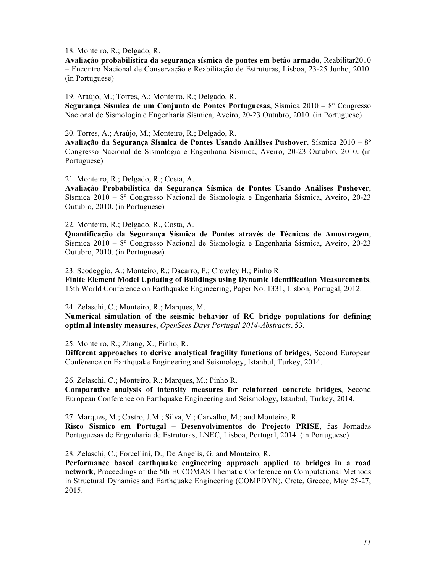18. Monteiro, R.; Delgado, R.

**Avaliação probabilística da segurança sísmica de pontes em betão armado**, Reabilitar2010 – Encontro Nacional de Conservação e Reabilitação de Estruturas, Lisboa, 23-25 Junho, 2010. (in Portuguese)

19. Araújo, M.; Torres, A.; Monteiro, R.; Delgado, R.

**Segurança Sísmica de um Conjunto de Pontes Portuguesas**, Sísmica 2010 – 8º Congresso Nacional de Sismologia e Engenharia Sísmica, Aveiro, 20-23 Outubro, 2010. (in Portuguese)

20. Torres, A.; Araújo, M.; Monteiro, R.; Delgado, R.

**Avaliação da Segurança Sísmica de Pontes Usando Análises Pushover**, Sísmica 2010 – 8º Congresso Nacional de Sismologia e Engenharia Sísmica, Aveiro, 20-23 Outubro, 2010. (in Portuguese)

21. Monteiro, R.; Delgado, R.; Costa, A.

**Avaliação Probabilística da Segurança Sísmica de Pontes Usando Análises Pushover**, Sísmica 2010 – 8º Congresso Nacional de Sismologia e Engenharia Sísmica, Aveiro, 20-23 Outubro, 2010. (in Portuguese)

22. Monteiro, R.; Delgado, R., Costa, A.

**Quantificação da Segurança Sísmica de Pontes através de Técnicas de Amostragem**, Sísmica 2010 – 8º Congresso Nacional de Sismologia e Engenharia Sísmica, Aveiro, 20-23 Outubro, 2010. (in Portuguese)

23. Scodeggio, A.; Monteiro, R.; Dacarro, F.; Crowley H.; Pinho R. **Finite Element Model Updating of Buildings using Dynamic Identification Measurements**, 15th World Conference on Earthquake Engineering, Paper No. 1331, Lisbon, Portugal, 2012.

24. Zelaschi, C.; Monteiro, R.; Marques, M.

**Numerical simulation of the seismic behavior of RC bridge populations for defining optimal intensity measures**, *OpenSees Days Portugal 2014-Abstracts*, 53.

25. Monteiro, R.; Zhang, X.; Pinho, R.

**Different approaches to derive analytical fragility functions of bridges**, Second European Conference on Earthquake Engineering and Seismology, Istanbul, Turkey, 2014.

26. Zelaschi, C.; Monteiro, R.; Marques, M.; Pinho R.

**Comparative analysis of intensity measures for reinforced concrete bridges**, Second European Conference on Earthquake Engineering and Seismology, Istanbul, Turkey, 2014.

27. Marques, M.; Castro, J.M.; Silva, V.; Carvalho, M.; and Monteiro, R. **Risco Sismico em Portugal – Desenvolvimentos do Projecto PRISE**, 5as Jornadas Portuguesas de Engenharia de Estruturas, LNEC, Lisboa, Portugal, 2014. (in Portuguese)

28. Zelaschi, C.; Forcellini, D.; De Angelis, G. and Monteiro, R.

**Performance based earthquake engineering approach applied to bridges in a road network**, Proceedings of the 5th ECCOMAS Thematic Conference on Computational Methods in Structural Dynamics and Earthquake Engineering (COMPDYN), Crete, Greece, May 25-27, 2015.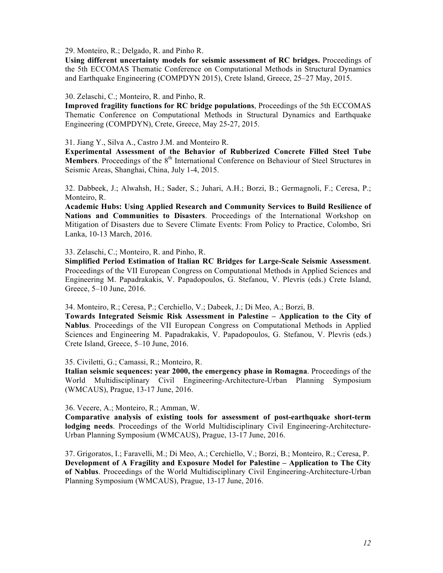29. Monteiro, R.; Delgado, R. and Pinho R.

**Using different uncertainty models for seismic assessment of RC bridges.** Proceedings of the 5th ECCOMAS Thematic Conference on Computational Methods in Structural Dynamics and Earthquake Engineering (COMPDYN 2015), Crete Island, Greece, 25–27 May, 2015.

#### 30. Zelaschi, C.; Monteiro, R. and Pinho, R.

**Improved fragility functions for RC bridge populations**, Proceedings of the 5th ECCOMAS Thematic Conference on Computational Methods in Structural Dynamics and Earthquake Engineering (COMPDYN), Crete, Greece, May 25-27, 2015.

31. Jiang Y., Silva A., Castro J.M. and Monteiro R.

**Experimental Assessment of the Behavior of Rubberized Concrete Filled Steel Tube Members**. Proceedings of the 8<sup>th</sup> International Conference on Behaviour of Steel Structures in Seismic Areas, Shanghai, China, July 1-4, 2015.

32. Dabbeek, J.; Alwahsh, H.; Sader, S.; Juhari, A.H.; Borzi, B.; Germagnoli, F.; Ceresa, P.; Monteiro, R.

**Academic Hubs: Using Applied Research and Community Services to Build Resilience of Nations and Communities to Disasters**. Proceedings of the International Workshop on Mitigation of Disasters due to Severe Climate Events: From Policy to Practice, Colombo, Sri Lanka, 10-13 March, 2016.

33. Zelaschi, C.; Monteiro, R. and Pinho, R.

**Simplified Period Estimation of Italian RC Bridges for Large-Scale Seismic Assessment**. Proceedings of the VII European Congress on Computational Methods in Applied Sciences and Engineering M. Papadrakakis, V. Papadopoulos, G. Stefanou, V. Plevris (eds.) Crete Island, Greece, 5–10 June, 2016.

34. Monteiro, R.; Ceresa, P.; Cerchiello, V.; Dabeek, J.; Di Meo, A.; Borzi, B.

**Towards Integrated Seismic Risk Assessment in Palestine – Application to the City of Nablus**. Proceedings of the VII European Congress on Computational Methods in Applied Sciences and Engineering M. Papadrakakis, V. Papadopoulos, G. Stefanou, V. Plevris (eds.) Crete Island, Greece, 5–10 June, 2016.

35. Civiletti, G.; Camassi, R.; Monteiro, R.

**Italian seismic sequences: year 2000, the emergency phase in Romagna**. Proceedings of the World Multidisciplinary Civil Engineering-Architecture-Urban Planning Symposium (WMCAUS), Prague, 13-17 June, 2016.

36. Vecere, A.; Monteiro, R.; Amman, W.

**Comparative analysis of existing tools for assessment of post-earthquake short-term lodging needs**. Proceedings of the World Multidisciplinary Civil Engineering-Architecture-Urban Planning Symposium (WMCAUS), Prague, 13-17 June, 2016.

37. Grigoratos, I.; Faravelli, M.; Di Meo, A.; Cerchiello, V.; Borzi, B.; Monteiro, R.; Ceresa, P. **Development of A Fragility and Exposure Model for Palestine – Application to The City of Nablus**. Proceedings of the World Multidisciplinary Civil Engineering-Architecture-Urban Planning Symposium (WMCAUS), Prague, 13-17 June, 2016.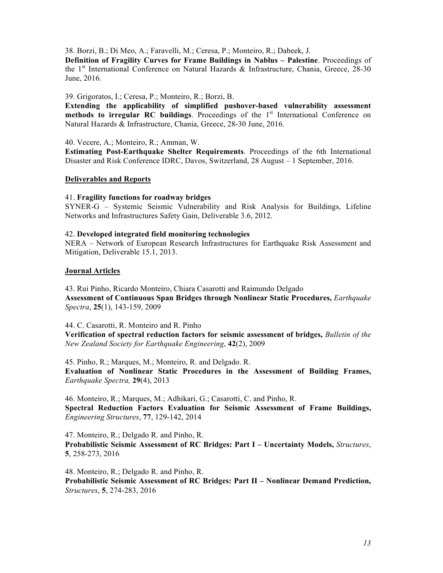38. Borzi, B.; Di Meo, A.; Faravelli, M.; Ceresa, P.; Monteiro, R.; Dabeek, J.

**Definition of Fragility Curves for Frame Buildings in Nablus – Palestine**. Proceedings of the 1<sup>st</sup> International Conference on Natural Hazards & Infrastructure, Chania, Greece, 28-30 June, 2016.

39. Grigoratos, I.; Ceresa, P.; Monteiro, R.; Borzi, B.

**Extending the applicability of simplified pushover-based vulnerability assessment methods to irregular RC buildings**. Proceedings of the 1<sup>st</sup> International Conference on Natural Hazards & Infrastructure, Chania, Greece, 28-30 June, 2016.

40. Vecere, A.; Monteiro, R.; Amman, W.

**Estimating Post-Earthquake Shelter Requirements**. Proceedings of the 6th International Disaster and Risk Conference IDRC, Davos, Switzerland, 28 August – 1 September, 2016.

#### **Deliverables and Reports**

#### 41. **Fragility functions for roadway bridges**

SYNER-G – Systemic Seismic Vulnerability and Risk Analysis for Buildings, Lifeline Networks and Infrastructures Safety Gain, Deliverable 3.6, 2012.

#### 42. **Developed integrated field monitoring technologies**

NERA – Network of European Research Infrastructures for Earthquake Risk Assessment and Mitigation, Deliverable 15.1, 2013.

#### **Journal Articles**

43. Rui Pinho, Ricardo Monteiro, Chiara Casarotti and Raimundo Delgado **Assessment of Continuous Span Bridges through Nonlinear Static Procedures,** *Earthquake Spectra*, **25**(1), 143-159, 2009

44. C. Casarotti, R. Monteiro and R. Pinho

**Verification of spectral reduction factors for seismic assessment of bridges,** *Bulletin of the New Zealand Society for Earthquake Engineering*, **42**(2), 2009

45. Pinho, R.; Marques, M.; Monteiro, R. and Delgado. R. **Evaluation of Nonlinear Static Procedures in the Assessment of Building Frames,**  *Earthquake Spectra,* **29**(4), 2013

46. Monteiro, R.; Marques, M.; Adhikari, G.; Casarotti, C. and Pinho, R. **Spectral Reduction Factors Evaluation for Seismic Assessment of Frame Buildings,**  *Engineering Structures*, **77**, 129-142, 2014

47. Monteiro, R.; Delgado R. and Pinho, R. **Probabilistic Seismic Assessment of RC Bridges: Part I – Uncertainty Models,** *Structures*, **5**, 258-273, 2016

48. Monteiro, R.; Delgado R. and Pinho, R. **Probabilistic Seismic Assessment of RC Bridges: Part II – Nonlinear Demand Prediction,**  *Structures*, **5**, 274-283, 2016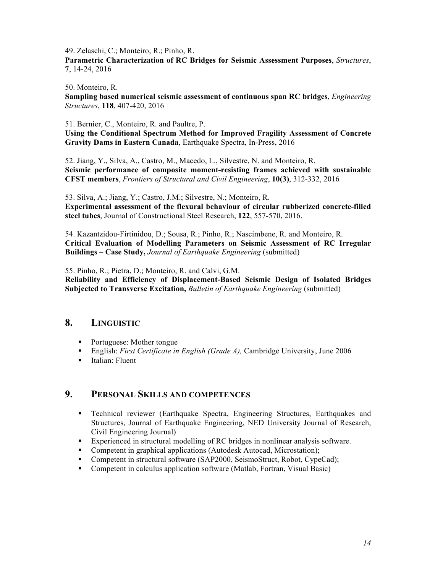49. Zelaschi, C.; Monteiro, R.; Pinho, R.

**Parametric Characterization of RC Bridges for Seismic Assessment Purposes**, *Structures*, **7**, 14-24, 2016

50. Monteiro, R.

**Sampling based numerical seismic assessment of continuous span RC bridges**, *Engineering Structures*, **118**, 407-420, 2016

51. Bernier, C., Monteiro, R. and Paultre, P.

**Using the Conditional Spectrum Method for Improved Fragility Assessment of Concrete Gravity Dams in Eastern Canada**, Earthquake Spectra, In-Press, 2016

52. Jiang, Y., Silva, A., Castro, M., Macedo, L., Silvestre, N. and Monteiro, R. **Seismic performance of composite moment-resisting frames achieved with sustainable CFST members**, *Frontiers of Structural and Civil Engineering*, **10(3)**, 312-332, 2016

53. Silva, A.; Jiang, Y.; Castro, J.M.; Silvestre, N.; Monteiro, R. **Experimental assessment of the flexural behaviour of circular rubberized concrete-filled steel tubes**, Journal of Constructional Steel Research, **122**, 557-570, 2016.

54. Kazantzidou-Firtinidou, D.; Sousa, R.; Pinho, R.; Nascimbene, R. and Monteiro, R. **Critical Evaluation of Modelling Parameters on Seismic Assessment of RC Irregular Buildings – Case Study,** *Journal of Earthquake Engineering* (submitted)

55. Pinho, R.; Pietra, D.; Monteiro, R. and Calvi, G.M.

**Reliability and Efficiency of Displacement-Based Seismic Design of Isolated Bridges Subjected to Transverse Excitation,** *Bulletin of Earthquake Engineering* (submitted)

### **8. LINGUISTIC**

- Portuguese: Mother tongue
- § English: *First Certificate in English (Grade A),* Cambridge University, June 2006
- Italian: Fluent

### **9. PERSONAL SKILLS AND COMPETENCES**

- § Technical reviewer (Earthquake Spectra, Engineering Structures, Earthquakes and Structures, Journal of Earthquake Engineering, NED University Journal of Research, Civil Engineering Journal)
- § Experienced in structural modelling of RC bridges in nonlinear analysis software.
- Competent in graphical applications (Autodesk Autocad, Microstation);
- Competent in structural software (SAP2000, SeismoStruct, Robot, CypeCad);
- Competent in calculus application software (Matlab, Fortran, Visual Basic)